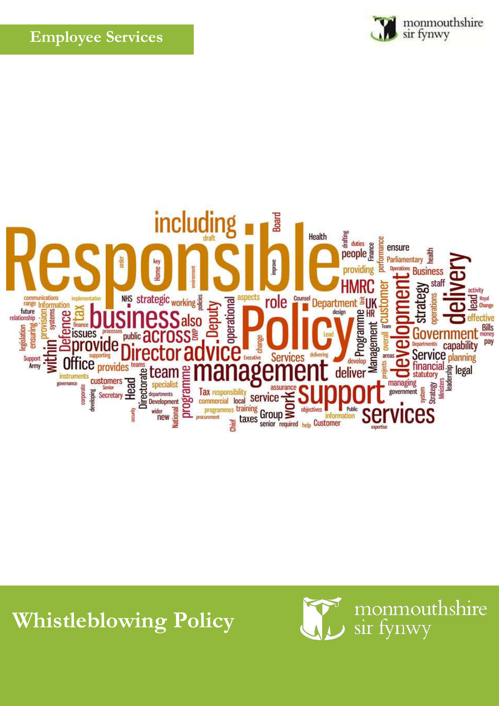



## **Whistleblowing Policy**

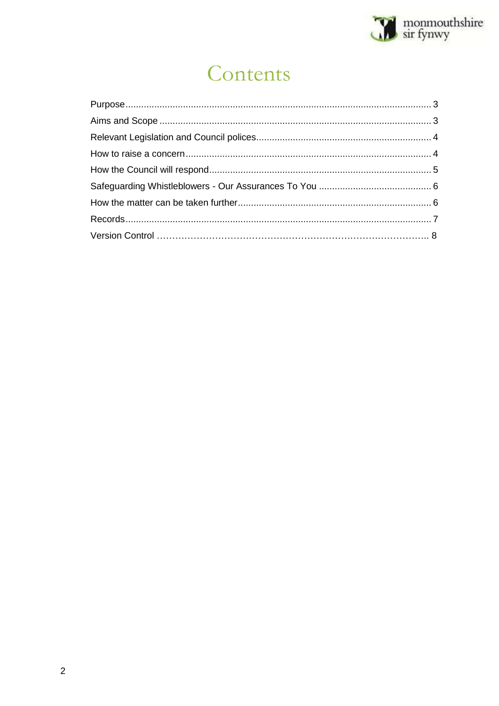

# Contents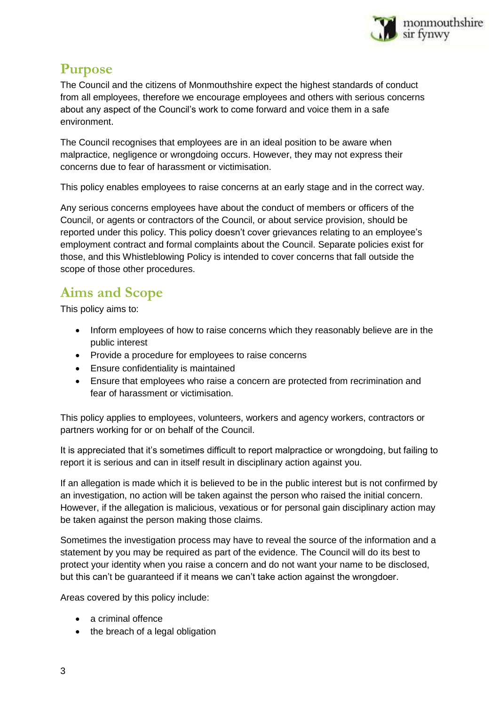

### <span id="page-2-0"></span>**Purpose**

The Council and the citizens of Monmouthshire expect the highest standards of conduct from all employees, therefore we encourage employees and others with serious concerns about any aspect of the Council's work to come forward and voice them in a safe environment.

The Council recognises that employees are in an ideal position to be aware when malpractice, negligence or wrongdoing occurs. However, they may not express their concerns due to fear of harassment or victimisation.

This policy enables employees to raise concerns at an early stage and in the correct way.

Any serious concerns employees have about the conduct of members or officers of the Council, or agents or contractors of the Council, or about service provision, should be reported under this policy. This policy doesn't cover grievances relating to an employee's employment contract and formal complaints about the Council. Separate policies exist for those, and this Whistleblowing Policy is intended to cover concerns that fall outside the scope of those other procedures.

## <span id="page-2-1"></span>**Aims and Scope**

This policy aims to:

- Inform employees of how to raise concerns which they reasonably believe are in the public interest
- Provide a procedure for employees to raise concerns
- Ensure confidentiality is maintained
- Ensure that employees who raise a concern are protected from recrimination and fear of harassment or victimisation.

This policy applies to employees, volunteers, workers and agency workers, contractors or partners working for or on behalf of the Council.

It is appreciated that it's sometimes difficult to report malpractice or wrongdoing, but failing to report it is serious and can in itself result in disciplinary action against you.

If an allegation is made which it is believed to be in the public interest but is not confirmed by an investigation, no action will be taken against the person who raised the initial concern. However, if the allegation is malicious, vexatious or for personal gain disciplinary action may be taken against the person making those claims.

Sometimes the investigation process may have to reveal the source of the information and a statement by you may be required as part of the evidence. The Council will do its best to protect your identity when you raise a concern and do not want your name to be disclosed, but this can't be guaranteed if it means we can't take action against the wrongdoer.

Areas covered by this policy include:

- a criminal offence
- the breach of a legal obligation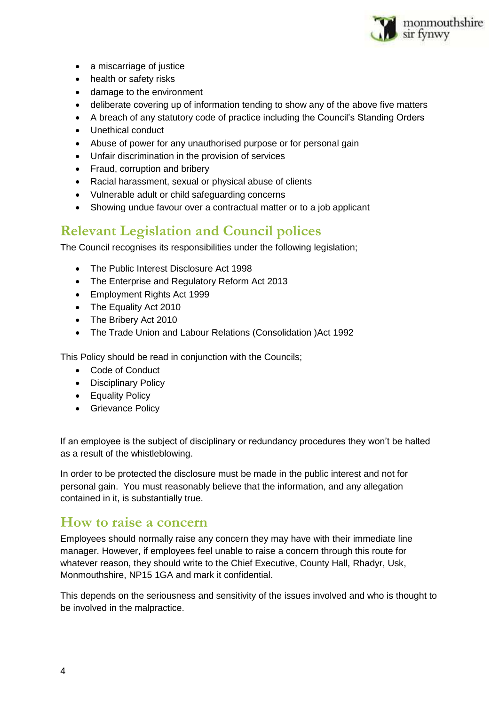

- a miscarriage of justice
- health or safety risks
- damage to the environment
- deliberate covering up of information tending to show any of the above five matters
- A breach of any statutory code of practice including the Council's Standing Orders
- Unethical conduct
- Abuse of power for any unauthorised purpose or for personal gain
- Unfair discrimination in the provision of services
- Fraud, corruption and bribery
- Racial harassment, sexual or physical abuse of clients
- Vulnerable adult or child safeguarding concerns
- Showing undue favour over a contractual matter or to a job applicant

## <span id="page-3-0"></span>**Relevant Legislation and Council polices**

The Council recognises its responsibilities under the following legislation;

- The Public Interest Disclosure Act 1998
- The Enterprise and Regulatory Reform Act 2013
- Employment Rights Act 1999
- The Equality Act 2010
- The Bribery Act 2010
- The Trade Union and Labour Relations (Consolidation )Act 1992

This Policy should be read in conjunction with the Councils;

- Code of Conduct
- Disciplinary Policy
- Equality Policy
- **•** Grievance Policy

If an employee is the subject of disciplinary or redundancy procedures they won't be halted as a result of the whistleblowing.

In order to be protected the disclosure must be made in the public interest and not for personal gain. You must reasonably believe that the information, and any allegation contained in it, is substantially true.

#### <span id="page-3-1"></span>**How to raise a concern**

Employees should normally raise any concern they may have with their immediate line manager. However, if employees feel unable to raise a concern through this route for whatever reason, they should write to the Chief Executive, County Hall, Rhadyr, Usk, Monmouthshire, NP15 1GA and mark it confidential.

This depends on the seriousness and sensitivity of the issues involved and who is thought to be involved in the malpractice.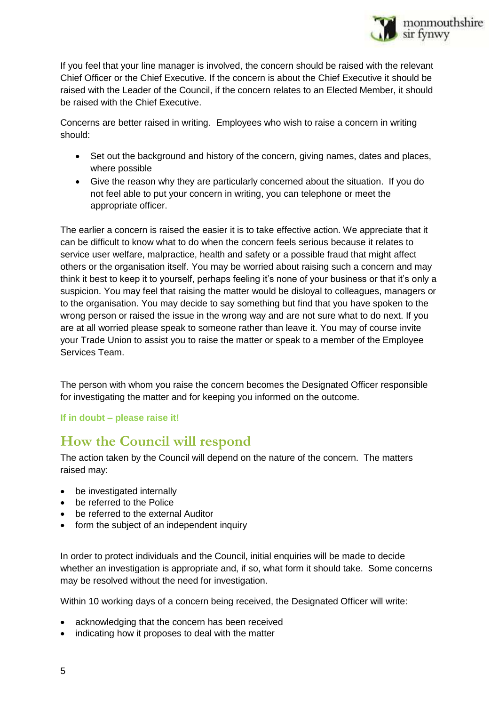

If you feel that your line manager is involved, the concern should be raised with the relevant Chief Officer or the Chief Executive. If the concern is about the Chief Executive it should be raised with the Leader of the Council, if the concern relates to an Elected Member, it should be raised with the Chief Executive.

Concerns are better raised in writing. Employees who wish to raise a concern in writing should:

- Set out the background and history of the concern, giving names, dates and places, where possible
- Give the reason why they are particularly concerned about the situation. If you do not feel able to put your concern in writing, you can telephone or meet the appropriate officer.

The earlier a concern is raised the easier it is to take effective action. We appreciate that it can be difficult to know what to do when the concern feels serious because it relates to service user welfare, malpractice, health and safety or a possible fraud that might affect others or the organisation itself. You may be worried about raising such a concern and may think it best to keep it to yourself, perhaps feeling it's none of your business or that it's only a suspicion. You may feel that raising the matter would be disloyal to colleagues, managers or to the organisation. You may decide to say something but find that you have spoken to the wrong person or raised the issue in the wrong way and are not sure what to do next. If you are at all worried please speak to someone rather than leave it. You may of course invite your Trade Union to assist you to raise the matter or speak to a member of the Employee Services Team.

The person with whom you raise the concern becomes the Designated Officer responsible for investigating the matter and for keeping you informed on the outcome.

#### **If in doubt – please raise it!**

#### <span id="page-4-0"></span>**How the Council will respond**

The action taken by the Council will depend on the nature of the concern. The matters raised may:

- be investigated internally
- **•** be referred to the Police
- be referred to the external Auditor
- form the subject of an independent inquiry

In order to protect individuals and the Council, initial enquiries will be made to decide whether an investigation is appropriate and, if so, what form it should take. Some concerns may be resolved without the need for investigation.

Within 10 working days of a concern being received, the Designated Officer will write:

- acknowledging that the concern has been received
- indicating how it proposes to deal with the matter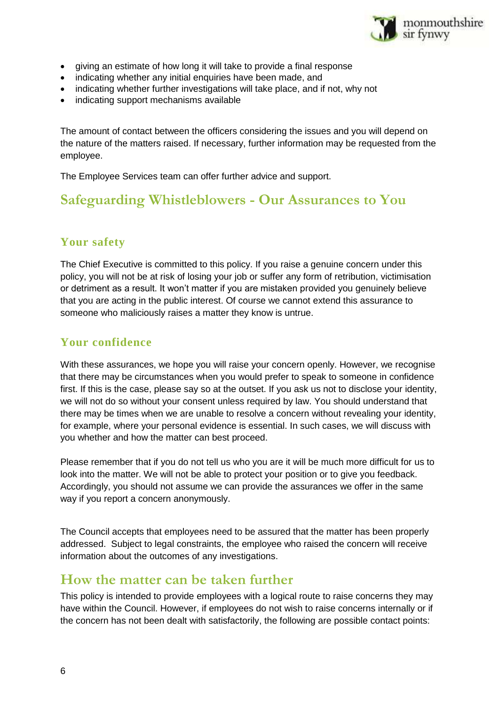

- giving an estimate of how long it will take to provide a final response
- indicating whether any initial enquiries have been made, and
- indicating whether further investigations will take place, and if not, why not
- indicating support mechanisms available

The amount of contact between the officers considering the issues and you will depend on the nature of the matters raised. If necessary, further information may be requested from the employee.

The Employee Services team can offer further advice and support.

#### <span id="page-5-0"></span>**Safeguarding Whistleblowers - Our Assurances to You**

#### **Your safety**

The Chief Executive is committed to this policy. If you raise a genuine concern under this policy, you will not be at risk of losing your job or suffer any form of retribution, victimisation or detriment as a result. It won't matter if you are mistaken provided you genuinely believe that you are acting in the public interest. Of course we cannot extend this assurance to someone who maliciously raises a matter they know is untrue.

#### **Your confidence**

With these assurances, we hope you will raise your concern openly. However, we recognise that there may be circumstances when you would prefer to speak to someone in confidence first. If this is the case, please say so at the outset. If you ask us not to disclose your identity, we will not do so without your consent unless required by law. You should understand that there may be times when we are unable to resolve a concern without revealing your identity, for example, where your personal evidence is essential. In such cases, we will discuss with you whether and how the matter can best proceed.

Please remember that if you do not tell us who you are it will be much more difficult for us to look into the matter. We will not be able to protect your position or to give you feedback. Accordingly, you should not assume we can provide the assurances we offer in the same way if you report a concern anonymously.

The Council accepts that employees need to be assured that the matter has been properly addressed. Subject to legal constraints, the employee who raised the concern will receive information about the outcomes of any investigations.

#### <span id="page-5-1"></span>**How the matter can be taken further**

This policy is intended to provide employees with a logical route to raise concerns they may have within the Council. However, if employees do not wish to raise concerns internally or if the concern has not been dealt with satisfactorily, the following are possible contact points: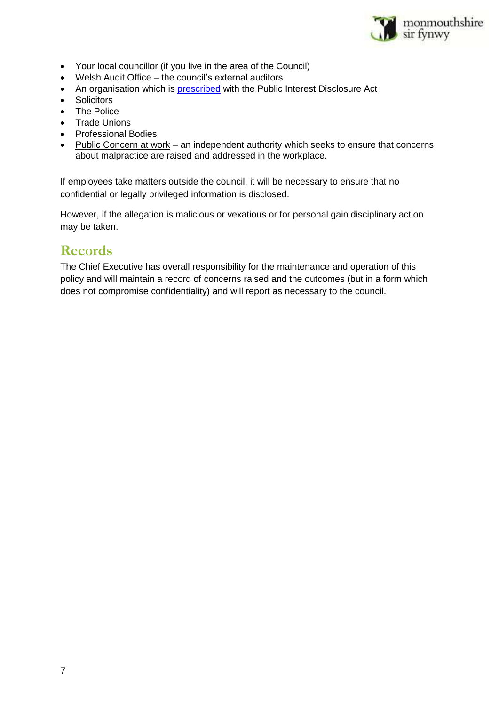

- Your local councillor (if you live in the area of the Council)
- Welsh Audit Office the council's external auditors
- An organisation which is [prescribed](https://www.gov.uk/government/uploads/system/uploads/attachment_data/file/183340/11-641-blowing-the-whistle-to-a-prescribed-person.pdf) with the Public Interest Disclosure Act
- Solicitors
- The Police
- Trade Unions
- Professional Bodies
- [Public Concern at work](http://www.pcaw.org.uk/) an independent authority which seeks to ensure that concerns about malpractice are raised and addressed in the workplace.

If employees take matters outside the council, it will be necessary to ensure that no confidential or legally privileged information is disclosed.

However, if the allegation is malicious or vexatious or for personal gain disciplinary action may be taken.

#### <span id="page-6-0"></span>**Records**

The Chief Executive has overall responsibility for the maintenance and operation of this policy and will maintain a record of concerns raised and the outcomes (but in a form which does not compromise confidentiality) and will report as necessary to the council.